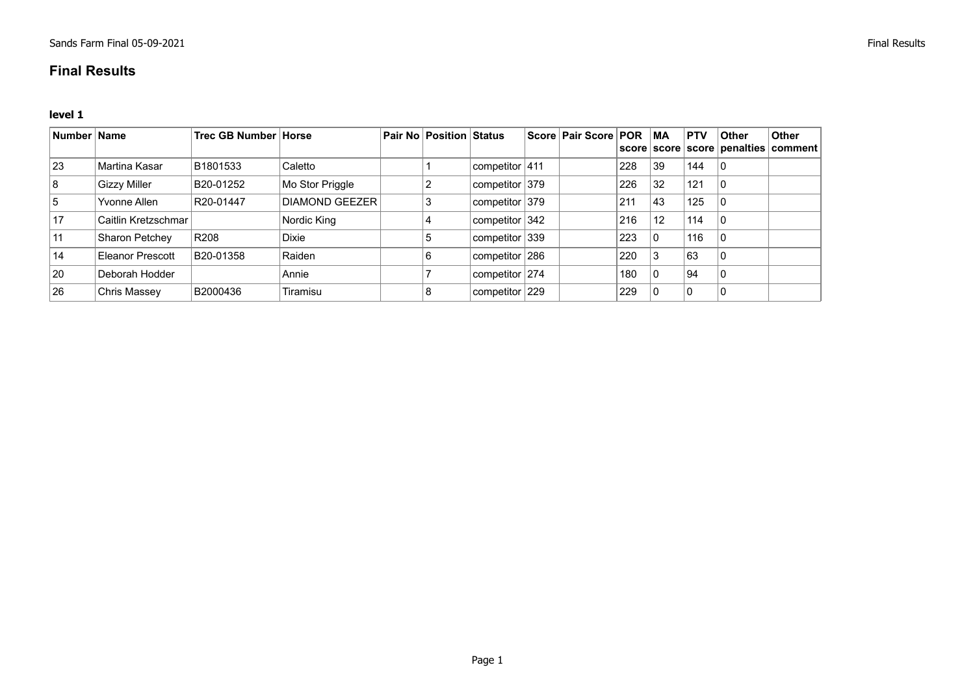## **Final Results**

**level 1**

| <sup>∣</sup> Number ∣ Name |                       | <b>Trec GB Number Horse</b> |                       | <b>Pair No Position Status</b> |                   | Score   Pair Score   POR |     | <b>MA</b> | <b>PTV</b> | <b>Other</b> | <b>Other</b><br>score   score   score   penalties   comment |
|----------------------------|-----------------------|-----------------------------|-----------------------|--------------------------------|-------------------|--------------------------|-----|-----------|------------|--------------|-------------------------------------------------------------|
| <sup>23</sup>              | Martina Kasar         | B1801533                    | Caletto               |                                | competitor $ 411$ |                          | 228 | 39        | 144        |              |                                                             |
| 8                          | <b>Gizzy Miller</b>   | B20-01252                   | Mo Stor Priggle       |                                | competitor $379$  |                          | 226 | 32        | 121        |              |                                                             |
| 15                         | Yvonne Allen          | R20-01447                   | <b>DIAMOND GEEZER</b> | 3                              | competitor 379    |                          | 211 | 43        | 125        |              |                                                             |
| 17                         | Caitlin Kretzschmar   |                             | Nordic King           |                                | competitor $342$  |                          | 216 | 12        | 114        |              |                                                             |
| 11                         | <b>Sharon Petchey</b> | R208                        | <b>Dixie</b>          | 5                              | competitor 339    |                          | 223 | $\Omega$  | 116        |              |                                                             |
| 14                         | Eleanor Prescott      | B20-01358                   | Raiden                | 6                              | competitor 286    |                          | 220 | 3         | 63         |              |                                                             |
| 20                         | Deborah Hodder        |                             | Annie                 |                                | competitor $274$  |                          | 180 |           | 94         |              |                                                             |
| 26                         | Chris Massey          | B2000436                    | Tiramisu              | 8                              | competitor 229    |                          | 229 |           | 0          |              |                                                             |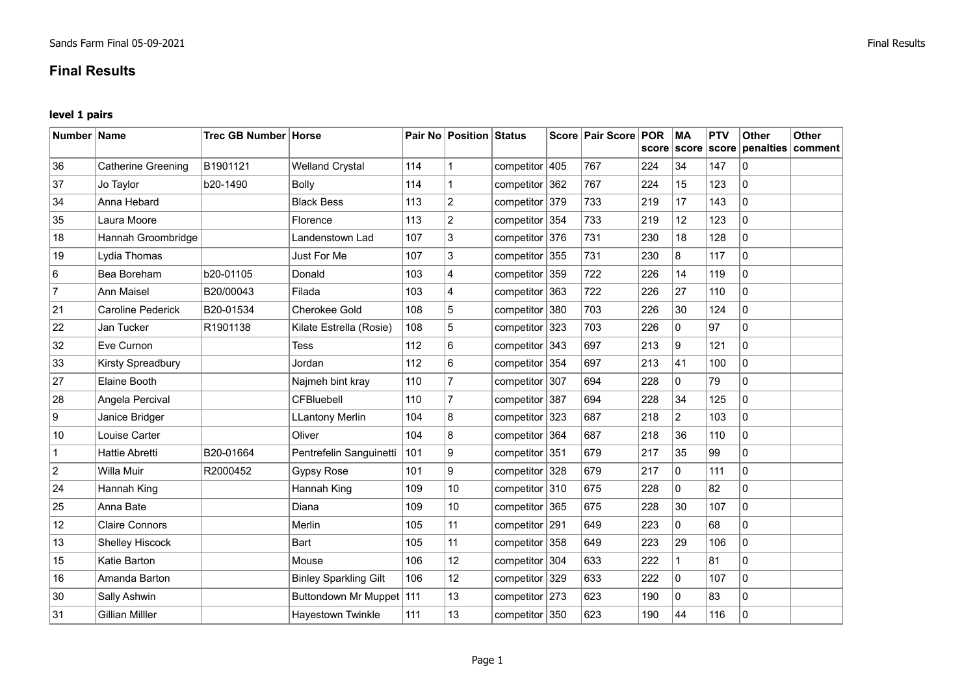## **Final Results**

## **level 1 pairs**

| Number Name    |                           | Trec GB Number Horse |                              |     | <b>Pair No Position Status</b> |                |     | Score   Pair Score | <b>POR</b><br>score | <b>MA</b><br>score | <b>PTV</b><br>score | <b>Other</b> | Other<br>penalties comment |
|----------------|---------------------------|----------------------|------------------------------|-----|--------------------------------|----------------|-----|--------------------|---------------------|--------------------|---------------------|--------------|----------------------------|
| 36             | <b>Catherine Greening</b> | B1901121             | <b>Welland Crystal</b>       | 114 | $\overline{1}$                 | competitor 405 |     | 767                | 224                 | 34                 | 147                 | $\mathbf{0}$ |                            |
| 37             | Jo Taylor                 | b20-1490             | <b>Bolly</b>                 | 114 | 1                              | competitor     | 362 | 767                | 224                 | 15                 | 123                 | $\mathbf{0}$ |                            |
| 34             | Anna Hebard               |                      | <b>Black Bess</b>            | 113 | $\overline{2}$                 | competitor 379 |     | 733                | 219                 | 17                 | 143                 | $\mathbf{0}$ |                            |
| 35             | Laura Moore               |                      | Florence                     | 113 | $\overline{c}$                 | competitor 354 |     | 733                | 219                 | 12                 | 123                 | $\mathbf{0}$ |                            |
| 18             | Hannah Groombridge        |                      | Landenstown Lad              | 107 | 3                              | competitor 376 |     | 731                | 230                 | 18                 | 128                 | $\mathbf{0}$ |                            |
| 19             | Lydia Thomas              |                      | Just For Me                  | 107 | 3                              | competitor 355 |     | 731                | 230                 | 8                  | 117                 | $\mathbf 0$  |                            |
| 6              | Bea Boreham               | b20-01105            | Donald                       | 103 | $\overline{4}$                 | competitor 359 |     | 722                | 226                 | 14                 | 119                 | $\mathbf{0}$ |                            |
| 7              | <b>Ann Maisel</b>         | B20/00043            | Filada                       | 103 | 4                              | competitor     | 363 | 722                | 226                 | 27                 | 110                 | $\mathbf{0}$ |                            |
| 21             | <b>Caroline Pederick</b>  | B20-01534            | <b>Cherokee Gold</b>         | 108 | 5                              | competitor     | 380 | 703                | 226                 | 30                 | 124                 | $\mathbf 0$  |                            |
| 22             | Jan Tucker                | R1901138             | Kilate Estrella (Rosie)      | 108 | 5                              | competitor 323 |     | 703                | 226                 | 0                  | 97                  | $\mathbf 0$  |                            |
| 32             | Eve Curnon                |                      | <b>Tess</b>                  | 112 | 6                              | competitor 343 |     | 697                | 213                 | 9                  | 121                 | $\mathbf{0}$ |                            |
| 33             | Kirsty Spreadbury         |                      | Jordan                       | 112 | 6                              | competitor 354 |     | 697                | 213                 | 41                 | 100                 | $\mathbf 0$  |                            |
| 27             | Elaine Booth              |                      | Najmeh bint kray             | 110 | $\overline{7}$                 | competitor 307 |     | 694                | 228                 | 0                  | 79                  | $\mathbf 0$  |                            |
| 28             | Angela Percival           |                      | CFBluebell                   | 110 | $\overline{7}$                 | competitor 387 |     | 694                | 228                 | 34                 | 125                 | $\mathbf{0}$ |                            |
| 9              | Janice Bridger            |                      | <b>LLantony Merlin</b>       | 104 | 8                              | competitor 323 |     | 687                | 218                 | $\overline{a}$     | 103                 | $\mathbf{0}$ |                            |
| 10             | Louise Carter             |                      | Oliver                       | 104 | 8                              | competitor 364 |     | 687                | 218                 | 36                 | 110                 | $\mathbf 0$  |                            |
| $\mathbf 1$    | <b>Hattie Abretti</b>     | B20-01664            | Pentrefelin Sanguinetti      | 101 | 9                              | competitor 351 |     | 679                | 217                 | 35                 | 99                  | $\mathbf{0}$ |                            |
| $\overline{c}$ | Willa Muir                | R2000452             | <b>Gypsy Rose</b>            | 101 | 9                              | competitor 328 |     | 679                | 217                 | $\Omega$           | 111                 | $\Omega$     |                            |
| 24             | Hannah King               |                      | Hannah King                  | 109 | 10                             | competitor 310 |     | 675                | 228                 | $\mathbf 0$        | 82                  | 0            |                            |
| 25             | Anna Bate                 |                      | Diana                        | 109 | 10                             | competitor 365 |     | 675                | 228                 | 30                 | 107                 | $\mathbf 0$  |                            |
| 12             | <b>Claire Connors</b>     |                      | Merlin                       | 105 | 11                             | competitor 291 |     | 649                | 223                 | 0                  | 68                  | $\mathbf{0}$ |                            |
| 13             | <b>Shelley Hiscock</b>    |                      | Bart                         | 105 | 11                             | competitor     | 358 | 649                | 223                 | 29                 | 106                 | $\mathbf 0$  |                            |
| 15             | Katie Barton              |                      | Mouse                        | 106 | 12                             | competitor 304 |     | 633                | 222                 | $\mathbf 1$        | 81                  | $\mathbf 0$  |                            |
| 16             | Amanda Barton             |                      | <b>Binley Sparkling Gilt</b> | 106 | 12                             | competitor 329 |     | 633                | 222                 | $\Omega$           | 107                 | $\mathbf 0$  |                            |
| 30             | Sally Ashwin              |                      | Buttondown Mr Muppet 111     |     | 13                             | competitor 273 |     | 623                | 190                 | 0                  | 83                  | $\mathbf 0$  |                            |
| 31             | <b>Gillian Milller</b>    |                      | <b>Hayestown Twinkle</b>     | 111 | 13                             | competitor 350 |     | 623                | 190                 | 44                 | 116                 | $\mathbf{0}$ |                            |